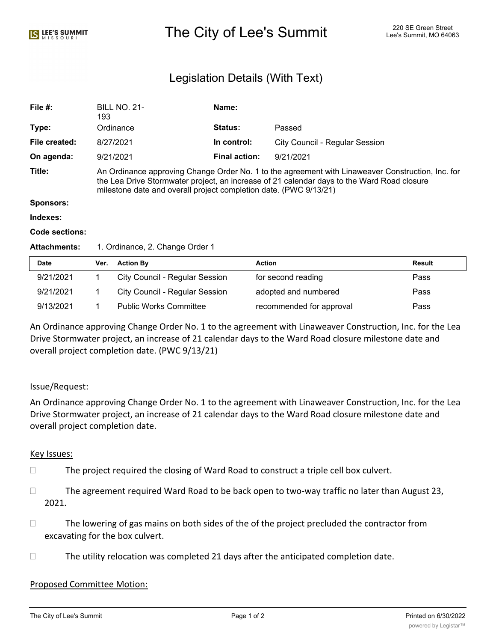# The City of Lee's Summit 220 SE Green Street Alex City of Lee's Summit, MO 64063

# Legislation Details (With Text)

| File $#$ :          | <b>BILL NO. 21-</b><br>193                                                                                                                                                                                                                                           | Name:                |                                       |  |  |
|---------------------|----------------------------------------------------------------------------------------------------------------------------------------------------------------------------------------------------------------------------------------------------------------------|----------------------|---------------------------------------|--|--|
| Type:               | Ordinance                                                                                                                                                                                                                                                            | <b>Status:</b>       | Passed                                |  |  |
| File created:       | 8/27/2021                                                                                                                                                                                                                                                            | In control:          | <b>City Council - Regular Session</b> |  |  |
| On agenda:          | 9/21/2021                                                                                                                                                                                                                                                            | <b>Final action:</b> | 9/21/2021                             |  |  |
| Title:              | An Ordinance approving Change Order No. 1 to the agreement with Linaweaver Construction, Inc. for<br>the Lea Drive Stormwater project, an increase of 21 calendar days to the Ward Road closure<br>milestone date and overall project completion date. (PWC 9/13/21) |                      |                                       |  |  |
| Sponsors:           |                                                                                                                                                                                                                                                                      |                      |                                       |  |  |
| Indexes:            |                                                                                                                                                                                                                                                                      |                      |                                       |  |  |
| Code sections:      |                                                                                                                                                                                                                                                                      |                      |                                       |  |  |
| <b>Attachments:</b> | 1. Ordinance, 2. Change Order 1                                                                                                                                                                                                                                      |                      |                                       |  |  |

| <b>Date</b> | Ver. | <b>Action By</b>                      | <b>Action</b>            | Result |
|-------------|------|---------------------------------------|--------------------------|--------|
| 9/21/2021   |      | City Council - Regular Session        | for second reading       | Pass   |
| 9/21/2021   |      | <b>City Council - Regular Session</b> | adopted and numbered     | Pass   |
| 9/13/2021   |      | <b>Public Works Committee</b>         | recommended for approval | Pass   |

An Ordinance approving Change Order No. 1 to the agreement with Linaweaver Construction, Inc. for the Lea Drive Stormwater project, an increase of 21 calendar days to the Ward Road closure milestone date and overall project completion date. (PWC 9/13/21)

## Issue/Request:

An Ordinance approving Change Order No. 1 to the agreement with Linaweaver Construction, Inc. for the Lea Drive Stormwater project, an increase of 21 calendar days to the Ward Road closure milestone date and overall project completion date.

#### Key Issues:

- $\Box$  The project required the closing of Ward Road to construct a triple cell box culvert.
- $\Box$  The agreement required Ward Road to be back open to two-way traffic no later than August 23, 2021.
- $\Box$  The lowering of gas mains on both sides of the of the project precluded the contractor from excavating for the box culvert.
- $\Box$  The utility relocation was completed 21 days after the anticipated completion date.

#### Proposed Committee Motion: